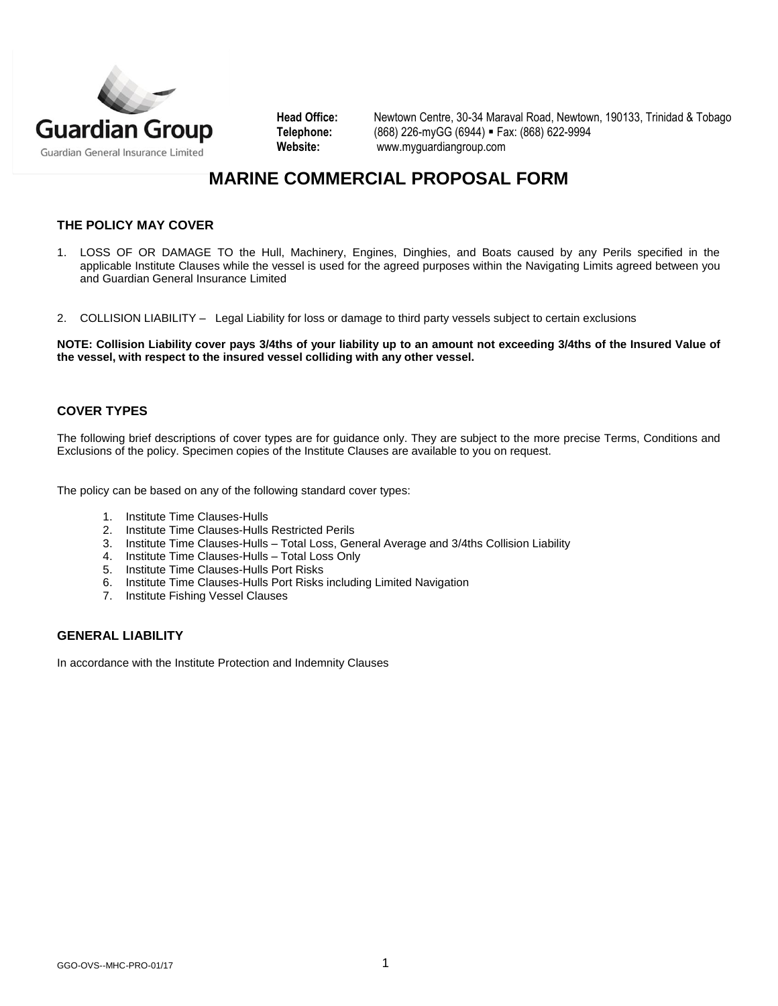

**Head Office:** Newtown Centre, 30-34 Maraval Road, Newtown, 190133, Trinidad & Tobago **Telephone:** (868) 226-myGG (6944) Fax: (868) 622-9994 **Website:** [www.myguardiangroup.com](http://www.myguardiangroup.com/)

# **MARINE COMMERCIAL PROPOSAL FORM**

# **THE POLICY MAY COVER**

- 1. LOSS OF OR DAMAGE TO the Hull, Machinery, Engines, Dinghies, and Boats caused by any Perils specified in the applicable Institute Clauses while the vessel is used for the agreed purposes within the Navigating Limits agreed between you and Guardian General Insurance Limited
- 2. COLLISION LIABILITY Legal Liability for loss or damage to third party vessels subject to certain exclusions

**NOTE: Collision Liability cover pays 3/4ths of your liability up to an amount not exceeding 3/4ths of the Insured Value of the vessel, with respect to the insured vessel colliding with any other vessel.** 

### **COVER TYPES**

The following brief descriptions of cover types are for guidance only. They are subject to the more precise Terms, Conditions and Exclusions of the policy. Specimen copies of the Institute Clauses are available to you on request.

The policy can be based on any of the following standard cover types:

- 1. Institute Time Clauses-Hulls
- 2. Institute Time Clauses-Hulls Restricted Perils
- 3. Institute Time Clauses-Hulls Total Loss, General Average and 3/4ths Collision Liability
- 4. Institute Time Clauses-Hulls Total Loss Only
- 5. Institute Time Clauses-Hulls Port Risks
- 6. Institute Time Clauses-Hulls Port Risks including Limited Navigation
- 7. Institute Fishing Vessel Clauses

## **GENERAL LIABILITY**

In accordance with the Institute Protection and Indemnity Clauses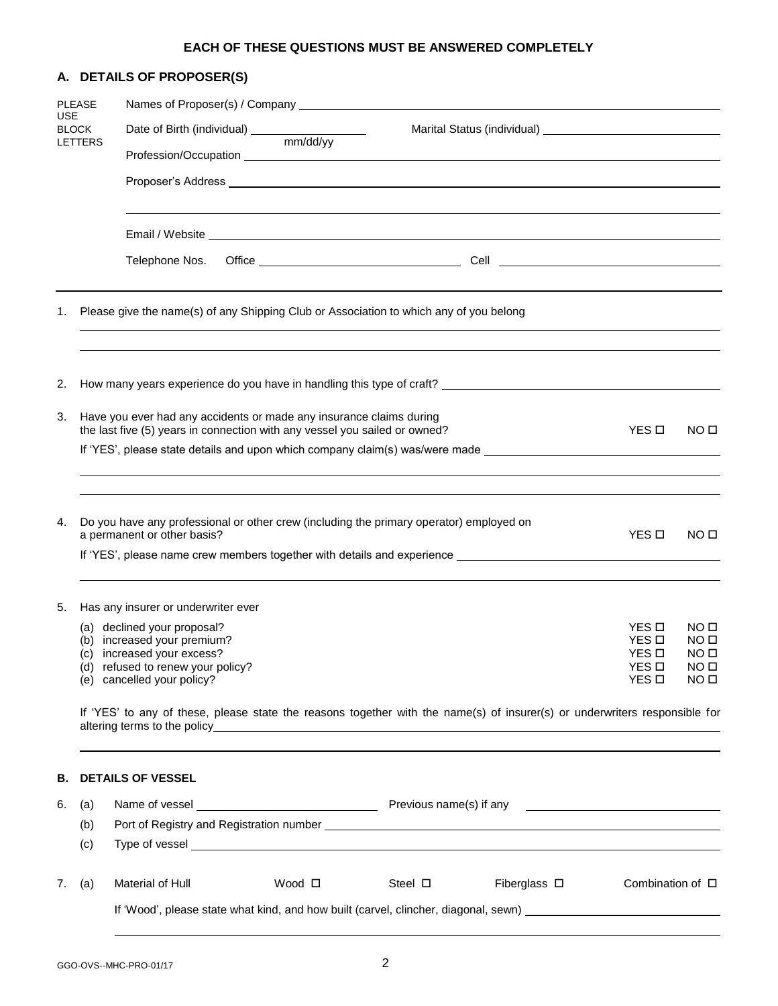#### **EACH OF THESE QUESTIONS MUST BE ANSWERED COMPLETELY**

# **A. DETAILS OF PROPOSER(S)** PLEASE Names of Proposer(s) / Company USE BLOCK Date of Birth (individual) \_\_\_\_\_\_\_\_\_\_\_\_\_\_\_\_\_\_\_\_\_\_\_ Marital Status (individual) \_\_\_\_\_\_\_\_\_\_\_\_\_\_\_ LETTERS mm/dd/yy Profession/Occupation Proposer's Address Email / Website Telephone Nos. Office Cell 1. Please give the name(s) of any Shipping Club or Association to which any of you belong 2. How many years experience do you have in handling this type of craft? \_\_\_\_\_\_\_\_\_ 3. Have you ever had any accidents or made any insurance claims during the last five (5) years in connection with any vessel you sailed or owned?  $YES \Box$  NO  $\square$ If 'YES', please state details and upon which company claim(s) was/were made \_\_\_\_\_\_\_\_\_\_\_\_\_\_\_\_\_\_\_\_\_\_ 4. Do you have any professional or other crew (including the primary operator) employed on a permanent or other basis? YES  $\Box$  NO  $\Box$ If 'YES', please name crew members together with details and experience 5. Has any insurer or underwriter ever (a) declined your proposal?  $YES \Box$  NO  $\Box$ (b) increased your premium?  $YES \Box$  NO  $\Box$ (c) increased your excess?  $YES \Box$  NO  $\Box$ (d) refused to renew your policy?  $($ a) refused to renew your policy? (e) cancelled your policy? YES NO If 'YES' to any of these, please state the reasons together with the name(s) of insurer(s) or underwriters responsible for altering terms to the policy example of the policy of the state of the state of the state of the state of the state of the state of the state of the state of the state of the state of the state of the state of the state of **B. DETAILS OF VESSEL** 6. (a) Name of vessel **Previous name(s)** if any (b) Port of Registry and Registration number (c) Type of vessel 7. (a) Material of Hull **Mood I** Steel **Steel Steel Seed Combination of D** Steel Combination of D If 'Wood', please state what kind, and how built (carvel, clincher, diagonal, sewn) \_\_\_\_\_\_\_\_\_\_\_\_\_\_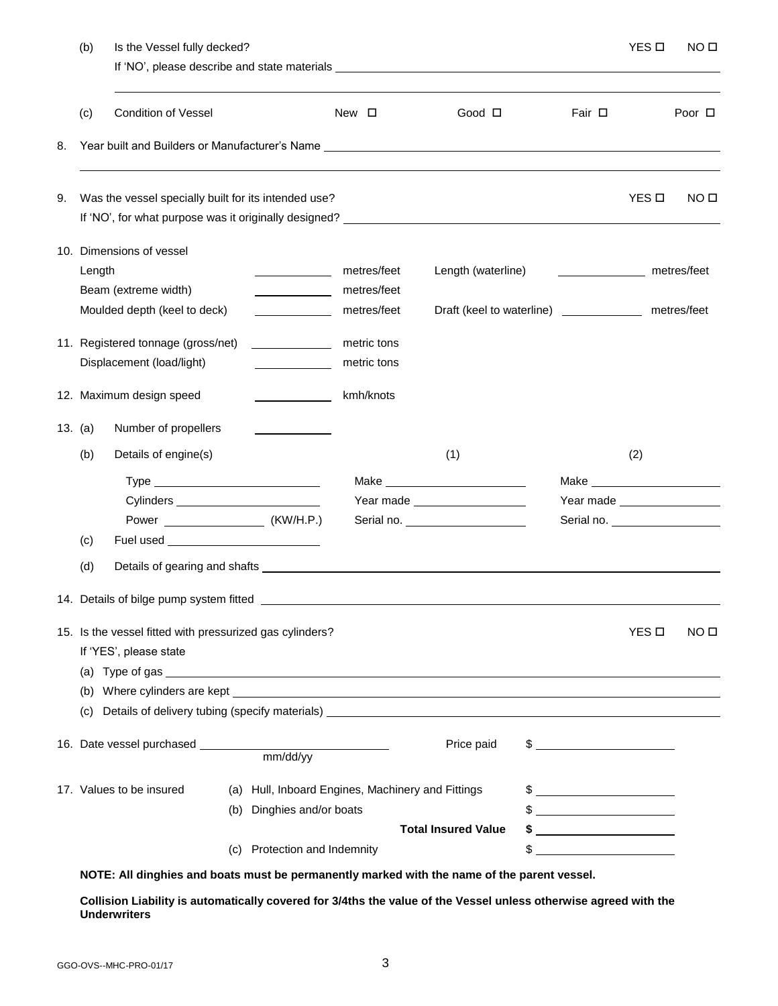|    | (b)                                                                                     | Is the Vessel fully decked?                                                                                                                                                                                                    |     |                                                   |              |             |                                   |  |                                                         |              | NO <sub>II</sub> |  |
|----|-----------------------------------------------------------------------------------------|--------------------------------------------------------------------------------------------------------------------------------------------------------------------------------------------------------------------------------|-----|---------------------------------------------------|--------------|-------------|-----------------------------------|--|---------------------------------------------------------|--------------|------------------|--|
|    |                                                                                         |                                                                                                                                                                                                                                |     |                                                   |              |             |                                   |  |                                                         |              |                  |  |
|    | (c)                                                                                     | <b>Condition of Vessel</b>                                                                                                                                                                                                     |     |                                                   | New <b>D</b> |             | Good <b>D</b>                     |  | Fair $\Box$                                             |              | Poor $\Box$      |  |
| 8. |                                                                                         | Year built and Builders or Manufacturer's Name Learn Communication and Communication of the Communication of the Communication of the Communication of the Communication of the Communication of the Communication of the Comm |     |                                                   |              |             |                                   |  |                                                         |              |                  |  |
| 9. |                                                                                         | Was the vessel specially built for its intended use?                                                                                                                                                                           |     |                                                   |              |             |                                   |  |                                                         | YES <b>D</b> | NO <sub>II</sub> |  |
|    | 10. Dimensions of vessel                                                                |                                                                                                                                                                                                                                |     |                                                   |              |             |                                   |  |                                                         |              |                  |  |
|    | Length                                                                                  |                                                                                                                                                                                                                                |     |                                                   |              | metres/feet | Length (waterline)                |  | ______________________ metres/feet                      |              |                  |  |
|    |                                                                                         | Beam (extreme width)                                                                                                                                                                                                           |     |                                                   |              | metres/feet |                                   |  |                                                         |              |                  |  |
|    |                                                                                         | Moulded depth (keel to deck)                                                                                                                                                                                                   |     | <u> 1990 - Jan Barbara III, politik politik (</u> |              | metres/feet |                                   |  | Draft (keel to waterline) _________________ metres/feet |              |                  |  |
|    |                                                                                         | 11. Registered tonnage (gross/net)                                                                                                                                                                                             |     |                                                   |              | metric tons |                                   |  |                                                         |              |                  |  |
|    |                                                                                         | Displacement (load/light)                                                                                                                                                                                                      |     | and the company of the company                    |              | metric tons |                                   |  |                                                         |              |                  |  |
|    |                                                                                         |                                                                                                                                                                                                                                |     |                                                   |              |             |                                   |  |                                                         |              |                  |  |
|    |                                                                                         | 12. Maximum design speed                                                                                                                                                                                                       |     |                                                   |              | kmh/knots   |                                   |  |                                                         |              |                  |  |
|    | 13. $(a)$                                                                               | Number of propellers                                                                                                                                                                                                           |     |                                                   |              |             |                                   |  |                                                         |              |                  |  |
|    | (b)                                                                                     | Details of engine(s)                                                                                                                                                                                                           |     |                                                   |              |             | (1)                               |  |                                                         | (2)          |                  |  |
|    |                                                                                         |                                                                                                                                                                                                                                |     |                                                   |              |             |                                   |  |                                                         |              |                  |  |
|    |                                                                                         |                                                                                                                                                                                                                                |     |                                                   |              |             | Year made                         |  | Year made ___________________                           |              |                  |  |
|    |                                                                                         |                                                                                                                                                                                                                                |     |                                                   |              |             | Serial no. ______________________ |  |                                                         |              |                  |  |
|    | (c)                                                                                     |                                                                                                                                                                                                                                |     |                                                   |              |             |                                   |  |                                                         |              |                  |  |
|    | (d)                                                                                     |                                                                                                                                                                                                                                |     |                                                   |              |             |                                   |  |                                                         |              |                  |  |
|    |                                                                                         | 14. Details of bilge pump system fitted                                                                                                                                                                                        |     |                                                   |              |             |                                   |  |                                                         |              |                  |  |
|    |                                                                                         | 15. Is the vessel fitted with pressurized gas cylinders?<br>If 'YES', please state                                                                                                                                             |     |                                                   |              |             |                                   |  |                                                         | YES □        | NO <sub>II</sub> |  |
|    |                                                                                         |                                                                                                                                                                                                                                |     |                                                   |              |             |                                   |  |                                                         |              |                  |  |
|    | (b)<br>Details of delivery tubing (specify materials) _________________________________ |                                                                                                                                                                                                                                |     |                                                   |              |             |                                   |  |                                                         |              |                  |  |
|    | (C)                                                                                     |                                                                                                                                                                                                                                |     |                                                   |              |             |                                   |  |                                                         |              |                  |  |
|    |                                                                                         |                                                                                                                                                                                                                                |     |                                                   |              |             | Price paid                        |  |                                                         |              |                  |  |
|    | 17. Values to be insured<br>(a) Hull, Inboard Engines, Machinery and Fittings           |                                                                                                                                                                                                                                |     |                                                   |              |             |                                   |  | $\frac{1}{2}$                                           |              |                  |  |
|    |                                                                                         |                                                                                                                                                                                                                                | (b) | Dinghies and/or boats                             |              |             |                                   |  |                                                         |              |                  |  |
|    |                                                                                         |                                                                                                                                                                                                                                |     |                                                   |              |             | <b>Total Insured Value</b>        |  |                                                         |              |                  |  |
|    |                                                                                         |                                                                                                                                                                                                                                | (C) | Protection and Indemnity                          |              |             |                                   |  |                                                         |              |                  |  |

**NOTE: All dinghies and boats must be permanently marked with the name of the parent vessel.**

**Collision Liability is automatically covered for 3/4ths the value of the Vessel unless otherwise agreed with the Underwriters**